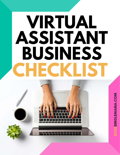# **VIRTUAL ASSISTANT BUSINESS CHECKLIST**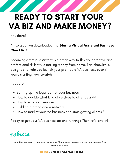### READY TO START YOUR VA BIZ AND MAKE MONEY?

Hey there!

I'm so glad you downloaded the **Start a Virtual Assistant Business** Checklist!

Becoming a virtual assistant is a great way to flex your creative and professional skills while making money from home. This checklist is designed to help you launch your profitable VA business, even if you're starting from scratch!

It covers:

- Setting up the legal part of your business
- How to decide what kind of services to offer as a VA
- How to rate your services
- Building a brand and a network
- How to market your VA business and start getting clients !

Ready to get your VA business up and running? Then let's dive in!

Rebecca

Note: This freebie may contain affiliate links. That means I may earn a small commission if you make a purchase.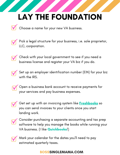# LAY THE FOUNDATION

Choose a name for your new VA business.



Pick a legal structure for your business, i.e. sole proprietor, LLC, corporation.



Check with your local government to see if you need a business license and register your VA biz if you do.



Open a business bank account to receive payments for your services and pay business expenses.



Get set up with an invoicing system like **[Freshbooks](https://bosssinglemama.com/recommends-freshbooks)** so you can send invoices to your clients once you start landing work.



Consider purchasing a separate accounting and tax prep [software to help you manage the books while running your](https://bosssinglemama.com/quickbooks-deal) VA business. (I like **Quickbooks**!)



Mark your calendar for the dates you'll need to pay estimated quarterly taxes.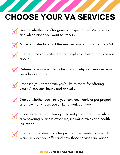### CHOOSE YOUR VA SERVICES

- Decide whether to offer general or specialized VA services and which niche you want to work in.
- Make a master list of all the services you plan to offer as a VA.
- Create a mission statement that explains what your business is about.
- Determine who your ideal client is and why your services would be valuable to them.
	- Establish your target rate you'd like to make for offering your VA services, hourly and annually.
	- Decide whether you'll rate your services hourly or per project and how many hours you'd like to work per week.
- Choose a rate that allows you to net your target rate, while also covering business expenses, including taxes and health insurance.
	- Create a rate sheet to offer prospective clients that details which services you offer and how those services are priced.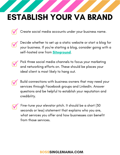# ESTABLISH YOUR VA BRAND



Create social media accounts under your business name.



Decide whether to set up a static website or start a blog for your business. If you're starting a blog, consider going with a self-hosted one from **[Siteground](https://siteground.com/go/bosssinglemama)**.



Pick three social media channels to focus your marketing and networking efforts on. These should be places your ideal client is most likely to hang out.

Build connections with business owners that may need your services through Facebook groups and LinkedIn. Answer questions and be helpful to establish your reputation and credibility.

Fine-tune your elevator pitch. It should be a short (30 seconds or less) statement that explains who you are, what services you offer and how businesses can benefit from those services.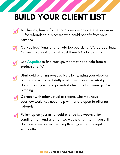# BUILD YOUR CLIENT LIST

- Ask friends, family, former coworkers -- anyone else you know -- for referrals to businesses who could benefit from your services.
- 
- Canvas traditional and remote job boards for VA job openings. Commit to applying for at least three VA jobs per day.



- Use **[Angelist](https://angellist.com/)** to find startups that may need help from a professional VA.
- Start cold pitching prospective clients, using your elevator pitch as a template. Briefly explain who you are, what you do and how you could potentially help the biz owner you're pitching.
- 
- Connect with other virtual assistants who may have overflow work they need help with or are open to offering referrals.
- Follow up on your initial cold pitches two weeks after sending them and another two weeks after that. If you still don't get a response, file the pitch away then try again in six months.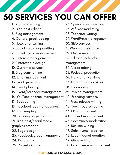# 50 SERVICES YOU CAN OFFER

- 1. Blog post writing
- 2. Blog post editing
- 3. Blog management
- 4. General proofreading
- 5. Newsletter writing
- 6. Social media copywriting
- 7. Social media management
- 8. Pinterest management
- 9. Pinterest pin design
- 10. Customer service
- 11. Blog commenting
- 12. Email management
- 13. Lead generation
- 14. Event planning
- 15. Event/calendar management
- 16. YouTube channel management 40. Branding services
- 17. Book editing
- 18. Facebook ads management
- 19. Bookkeeping
- 20. Landing page creation
- 21. Blog post/social media
- graphics creation
- 22. Logo design
- 23. Facebook group management
- 24. Data entry
- 25. PowerPoint creation
- 26. Spreadsheet creation
- 27. Affiliate marketing
- 28. Technical writing
- 29. WordPress management
- 30. SEO services
- 31. Webinar assistance
- 32. Online research
- 33. Editorial calendar

management

- 34. Video editing
- 35. Podcast production
- 36. Translation services
- 37. Transcription services
- 38. Ebook design
- 39. Invoice management
- 
- 41. Press release writing
- 42. Tech troubleshooting
- 43. PR management
- 44. Project management
- 45. Community moderation
- 46. Resume writing
- 47. Sales funnel creation
- 48. Lead magnet creation
- 49. Ghostwriting
- 50. Ecommerce management